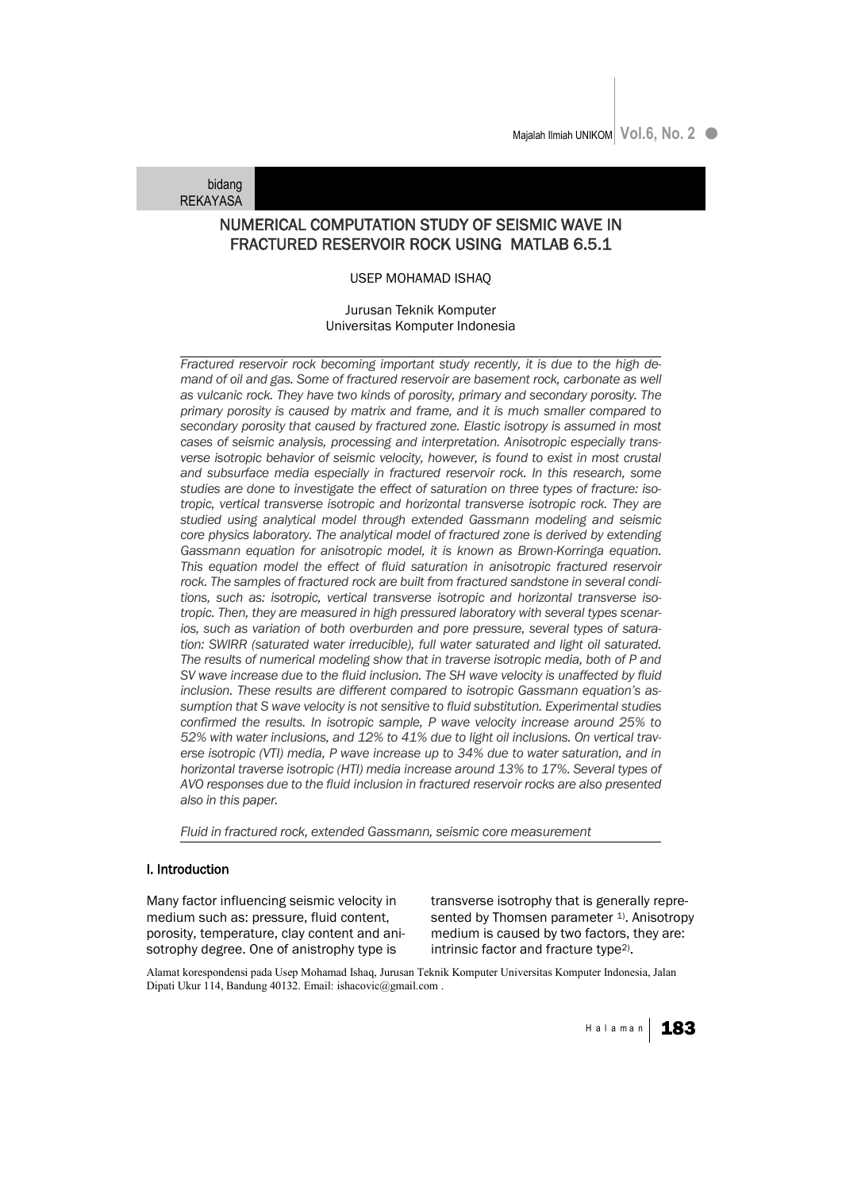bidang **REKAYASA** 

# NUMERICAL COMPUTATION STUDY OF SEISMIC WAVE IN FRACTURED RESERVOIR ROCK USING MATLAB 6.5.1

## USEP MOHAMAD ISHAQ

# Jurusan Teknik Komputer Universitas Komputer Indonesia

*Fractured reservoir rock becoming important study recently, it is due to the high demand of oil and gas. Some of fractured reservoir are basement rock, carbonate as well as vulcanic rock. They have two kinds of porosity, primary and secondary porosity. The primary porosity is caused by matrix and frame, and it is much smaller compared to secondary porosity that caused by fractured zone. Elastic isotropy is assumed in most cases of seismic analysis, processing and interpretation. Anisotropic especially transverse isotropic behavior of seismic velocity, however, is found to exist in most crustal and subsurface media especially in fractured reservoir rock. In this research, some studies are done to investigate the effect of saturation on three types of fracture: isotropic, vertical transverse isotropic and horizontal transverse isotropic rock. They are studied using analytical model through extended Gassmann modeling and seismic core physics laboratory. The analytical model of fractured zone is derived by extending Gassmann equation for anisotropic model, it is known as Brown-Korringa equation. This equation model the effect of fluid saturation in anisotropic fractured reservoir rock. The samples of fractured rock are built from fractured sandstone in several conditions, such as: isotropic, vertical transverse isotropic and horizontal transverse isotropic. Then, they are measured in high pressured laboratory with several types scenarios, such as variation of both overburden and pore pressure, several types of saturation: SWIRR (saturated water irreducible), full water saturated and light oil saturated. The results of numerical modeling show that in traverse isotropic media, both of P and SV wave increase due to the fluid inclusion. The SH wave velocity is unaffected by fluid inclusion. These results are different compared to isotropic Gassmann equation's assumption that S wave velocity is not sensitive to fluid substitution. Experimental studies confirmed the results. In isotropic sample, P wave velocity increase around 25% to 52% with water inclusions, and 12% to 41% due to light oil inclusions. On vertical traverse isotropic (VTI) media, P wave increase up to 34% due to water saturation, and in horizontal traverse isotropic (HTI) media increase around 13% to 17%. Several types of AVO responses due to the fluid inclusion in fractured reservoir rocks are also presented also in this paper.*

*Fluid in fractured rock, extended Gassmann, seismic core measurement*

#### I. Introduction

Many factor influencing seismic velocity in medium such as: pressure, fluid content, porosity, temperature, clay content and anisotrophy degree. One of anistrophy type is

transverse isotrophy that is generally represented by Thomsen parameter <sup>1</sup>). Anisotropy medium is caused by two factors, they are: intrinsic factor and fracture type<sup>2)</sup>.

Alamat korespondensi pada Usep Mohamad Ishaq, Jurusan Teknik Komputer Universitas Komputer Indonesia, Jalan Dipati Ukur 114, Bandung 40132. Email: ishacovic@gmail.com .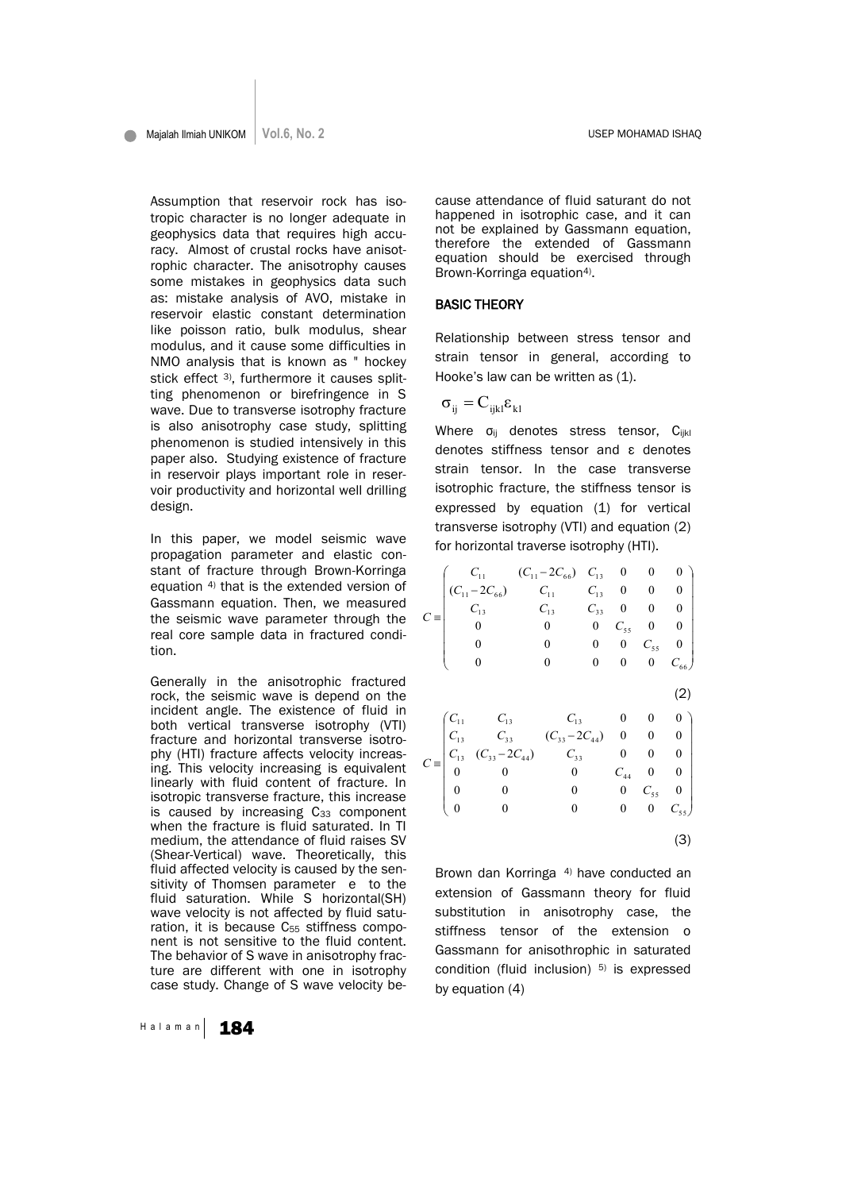Assumption that reservoir rock has isotropic character is no longer adequate in geophysics data that requires high accuracy. Almost of crustal rocks have anisotrophic character. The anisotrophy causes some mistakes in geophysics data such as: mistake analysis of AVO, mistake in reservoir elastic constant determination like poisson ratio, bulk modulus, shear modulus, and it cause some difficulties in NMO analysis that is known as " hockey stick effect 3), furthermore it causes splitting phenomenon or birefringence in S wave. Due to transverse isotrophy fracture is also anisotrophy case study, splitting phenomenon is studied intensively in this paper also. Studying existence of fracture in reservoir plays important role in reservoir productivity and horizontal well drilling design.

In this paper, we model seismic wave propagation parameter and elastic constant of fracture through Brown-Korringa equation 4) that is the extended version of Gassmann equation. Then, we measured the seismic wave parameter through the real core sample data in fractured condition.

Generally in the anisotrophic fractured rock, the seismic wave is depend on the incident angle. The existence of fluid in both vertical transverse isotrophy (VTI) fracture and horizontal transverse isotrophy (HTI) fracture affects velocity increasing. This velocity increasing is equivalent linearly with fluid content of fracture. In isotropic transverse fracture, this increase is caused by increasing  $C_{33}$  component when the fracture is fluid saturated. In TI medium, the attendance of fluid raises SV (Shear-Vertical) wave. Theoretically, this fluid affected velocity is caused by the sensitivity of Thomsen parameter e to the fluid saturation. While S horizontal(SH) wave velocity is not affected by fluid saturation, it is because  $C_{55}$  stiffness component is not sensitive to the fluid content. The behavior of S wave in anisotrophy fracture are different with one in isotrophy case study. Change of S wave velocity be-

Halaman 184

cause attendance of fluid saturant do not happened in isotrophic case, and it can not be explained by Gassmann equation, therefore the extended of Gassmann equation should be exercised through Brown-Korringa equation<sup>4)</sup>.

#### BASIC THEORY

Relationship between stress tensor and strain tensor in general, according to Hooke's law can be written as (1).

$$
\sigma_{_{ij}}=C_{_{ijkl}}\epsilon_{_{kl}}
$$

Where  $\sigma_{ii}$  denotes stress tensor,  $C_{iikl}$ denotes stiffness tensor and ε denotes strain tensor. In the case transverse isotrophic fracture, the stiffness tensor is expressed by equation (1) for vertical transverse isotrophy (VTI) and equation (2) for horizontal traverse isotrophy (HTI).

$$
C = \begin{pmatrix}\nC_{11} & (C_{11} - 2C_{66}) & C_{13} & 0 & 0 & 0 \\
C_{11} & C_{12} & C_{13} & 0 & 0 & 0 \\
C_{13} & C_{13} & C_{33} & 0 & 0 & 0 \\
0 & 0 & 0 & C_{55} & 0 & 0 \\
0 & 0 & 0 & 0 & C_{55} & 0\n\end{pmatrix}
$$
\n
$$
C = \begin{pmatrix}\nC_{11} & C_{13} & C_{13} & 0 & 0 & 0 \\
C_{13} & C_{33} & C_{33} - 2C_{44} & 0 & 0 & 0 \\
C_{13} & C_{33} - 2C_{44} & C_{33} & 0 & 0 & 0 \\
0 & 0 & 0 & C_{44} & 0 & 0 \\
0 & 0 & 0 & 0 & C_{55} & 0 \\
0 & 0 & 0 & 0 & 0 & C_{55} & 0 \\
0 & 0 & 0 & 0 & 0 & C_{55} & 0 \\
0 & 0 & 0 & 0 & 0 & 0 & C_{55}\n\end{pmatrix}
$$

(3)

Brown dan Korringa 4) have conducted an extension of Gassmann theory for fluid substitution in anisotrophy case, the stiffness tensor of the extension o Gassmann for anisothrophic in saturated condition (fluid inclusion) 5) is expressed by equation (4)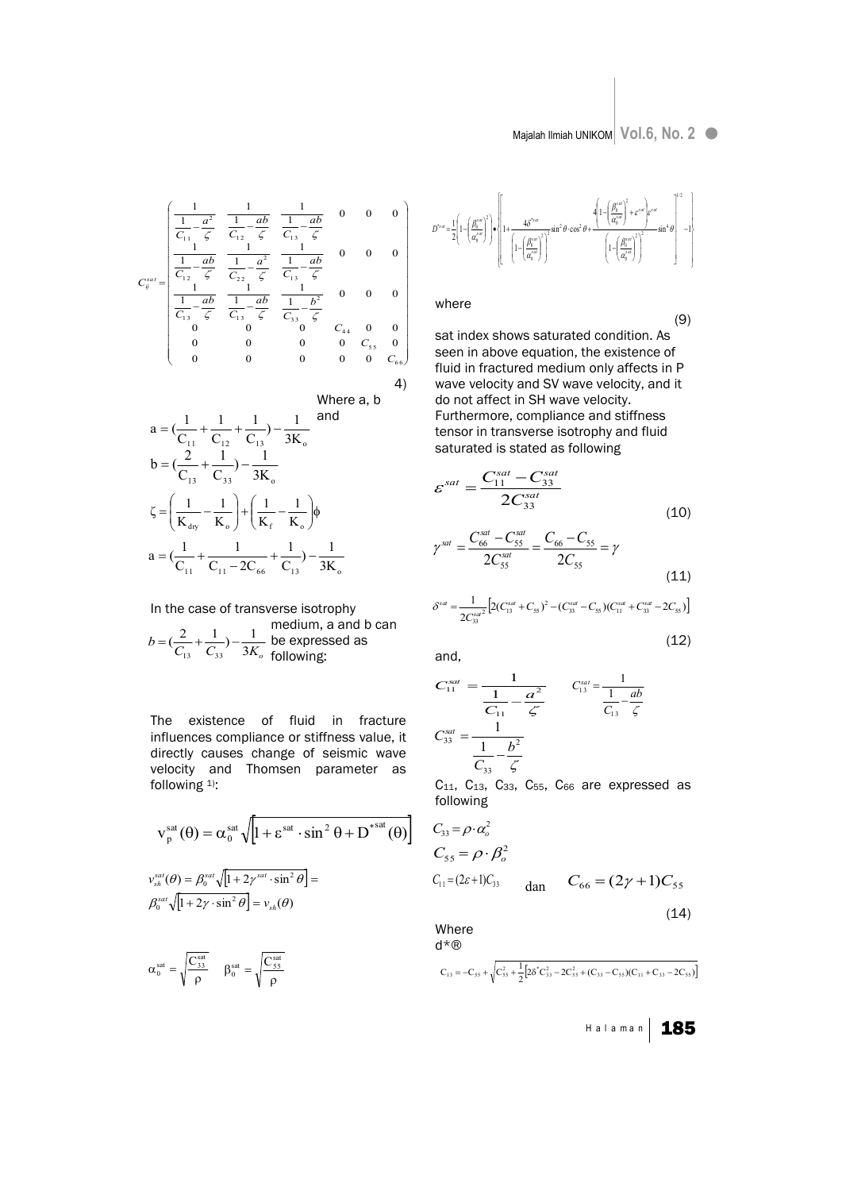(9)

 $(12)$ 

$$
C_{ij}^{sat} = \begin{pmatrix} \frac{1}{C_{11}} - \frac{a^2}{\zeta} & \frac{1}{C_{12}} - \frac{ab}{\zeta} & \frac{1}{C_{13}} - \frac{ab}{\zeta} & 0 & 0 & 0\\ \frac{1}{C_{11}} - \frac{ab}{\zeta} & \frac{1}{C_{12}} - \frac{a^2}{\zeta} & \frac{1}{C_{13}} - \frac{ab}{\zeta} & 0 & 0 & 0\\ \frac{1}{C_{12}} - \frac{ab}{\zeta} & \frac{1}{C_{12}} - \frac{ab}{\zeta} & \frac{1}{C_{13}} - \frac{ab}{\zeta} & 0 & 0 & 0\\ \frac{1}{C_{13}} - \frac{ab}{\zeta} & \frac{1}{C_{13}} - \frac{ab}{\zeta} & \frac{1}{C_{33}} - \frac{b^2}{\zeta} & 0 & 0 & 0\\ 0 & 0 & 0 & 0 & C_{55} & 0\\ 0 & 0 & 0 & 0 & 0 & C_{66} \end{pmatrix}
$$

4)

Where a, b  
\n
$$
a = \left(\frac{1}{C_{11}} + \frac{1}{C_{12}} + \frac{1}{C_{13}}\right) - \frac{1}{3K_o}
$$
 and  
\n
$$
b = \left(\frac{2}{C_{13}} + \frac{1}{C_{33}}\right) - \frac{1}{3K_o}
$$
  
\n
$$
\zeta = \left(\frac{1}{K_{\text{dry}}} - \frac{1}{K_o}\right) + \left(\frac{1}{K_f} - \frac{1}{K_o}\right)\phi
$$
  
\n
$$
a = \left(\frac{1}{C_{11}} + \frac{1}{C_{11} - 2C_{66}} + \frac{1}{C_{13}}\right) - \frac{1}{3K_o}
$$

In the case of transverse isotrophy medium, a and b can  
\n
$$
b = (\frac{2}{C_{13}} + \frac{1}{C_{33}}) - \frac{1}{3K_o}
$$
 be expressed as following:

The existence of fluid in fracture influences compliance or stiffness value, it directly causes change of seismic wave velocity and Thomsen parameter as following 1):

$$
\mathbf{v}_{\mathrm{p}}^{\mathrm{sat}}(\theta) = \alpha_{0}^{\mathrm{sat}} \sqrt{\left[1 + \varepsilon^{\mathrm{sat}} \cdot \sin^{2} \theta + \mathbf{D}^{\mathrm{sat}}(\theta)\right]}
$$

$$
v_{\mathrm{sh}}^{\mathrm{sat}}(\theta) = \beta_{0}^{\mathrm{sat}} \sqrt{\left[1 + 2\gamma^{\mathrm{sat}} \cdot \sin^{2} \theta\right]} = \beta_{0}^{\mathrm{sat}} \sqrt{\left[1 + 2\gamma \cdot \sin^{2} \theta\right]} = v_{\mathrm{sh}}(\theta)
$$

$$
\alpha_0^\text{sat} = \sqrt{\frac{C_{33}^\text{sat}}{\rho}} \quad \ \beta_0^\text{sat} = \sqrt{\frac{C_{55}^\text{sat}}{\rho}}
$$

$$
D^{*_{att}} = \frac{1}{2} \left( 1 - \left( \frac{\beta_0^{i_{att}}}{\alpha_0^{i_{att}}} \right)^2 \right) \cdot \left\{ 1 + \frac{4\delta^{*_{att}}}{\left( 1 - \left( \frac{\beta_0^{i_{att}}}{\alpha_0^{i_{att}}} \right)^2 \right)^2} \sin^2 \theta \cdot \cos^2 \theta + \frac{4 \left( 1 - \left( \frac{\beta_0^{i_{att}}}{\alpha_0^{i_{att}}} \right)^2 + \varepsilon^{i_{att}} \right) \varepsilon^{i_{att}}}{\left( 1 - \left( \frac{\beta_0^{i_{att}}}{\alpha_0^{i_{att}}} \right)^2 \right)^2} \sin^4 \theta \right\}^{1/2} - 1 \right\}
$$

where

sat index shows saturated condition. As seen in above equation, the existence of fluid in fractured medium only affects in P wave velocity and SV wave velocity, and it do not affect in SH wave velocity. Furthermore, compliance and stiffness tensor in transverse isotrophy and fluid saturated is stated as following

$$
\varepsilon^{sat} = \frac{C_{11}^{sat} - C_{33}^{sat}}{2C_{33}^{sat}}
$$
 (10)

$$
\gamma^{sat} = \frac{C_{66}^{sat} - C_{55}^{sat}}{2C_{55}^{sat}} = \frac{C_{66} - C_{55}}{2C_{55}} = \gamma
$$
\n(11)

$$
\delta^{s\alpha\alpha} = \frac{1}{2C_{33}^{s\alpha\alpha^2}} \Big[ 2(C_{13}^{s\alpha\alpha} + C_{55})^2 - (C_{33}^{s\alpha\alpha} - C_{55}) (C_{11}^{s\alpha\alpha} + C_{33}^{s\alpha\alpha} - 2C_{55}) \Big]
$$

and,

$$
C_{11}^{sat} = \frac{1}{\frac{1}{C_{11}} - \frac{a^2}{\zeta}} \qquad C_{13}^{sat} = \frac{1}{\frac{1}{C_{13}} - \frac{ab}{\zeta}}
$$

$$
C_{33}^{sat} = \frac{1}{\frac{1}{C_{33}} - \frac{b^2}{\zeta}}
$$

 $C_{11}$ ,  $C_{13}$ ,  $C_{33}$ ,  $C_{55}$ ,  $C_{66}$  are expressed as following

$$
C_{33} = \rho \cdot \alpha_o^2
$$
  
\n
$$
C_{55} = \rho \cdot \beta_o^2
$$
  
\n
$$
C_{11} = (2\varepsilon + 1)C_{33}
$$
 
$$
C_{66} = (2\gamma + 1)C_{55}
$$
  
\n(14)

Where d\*®

$$
C_{13} = -C_{55} + \sqrt{C_{55}^2 + \frac{1}{2} \left[ 2\delta^{\ast} C_{33}^2 - 2C_{55}^2 + (C_{33} - C_{55})(C_{11} + C_{33} - 2C_{55}) \right]}
$$

H a l a m a n | 185